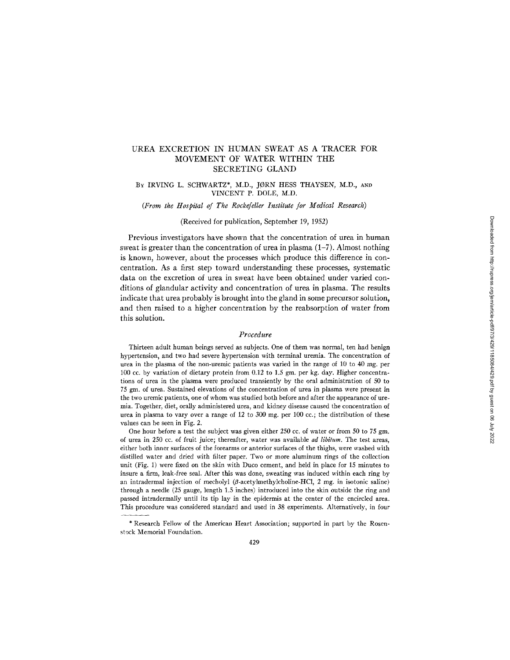# UREA EXCRETION IN HUMAN SWEAT AS A TRACER FOR MOVEMENT OF WATER WITHIN THE SECRETING GLAND

## BY IRVING L. SCHWARTZ\*, M.D., JORN HESS THAYSEN, M.D., AND VINCENT P. DOLE, M.D.

*(From the Hospital of The Rockefeller Institute for Medical Research)* 

## (Received for publication, September 19, 1952)

Previous investigators have shown that the concentration of urea in human sweat is greater than the concentration of urea in plasma (1-7). Almost nothing is known, however, about the processes which produce this difference in concentration. As a first step toward understanding these processes, systematic data on the excretion of urea in sweat have been obtained under varied conditions of glandular activity and concentration of urea in plasma. The results indicate that urea probably is brought into the gland in some precursor solution, and then raised to a higher concentration by the reabsorption of water from this solution.

# *Procedure*

Thirteen adult human beings served as subjects. One of them was normal, ten had benign hypertension, and two had severe hypertension with terminal uremia. The concentration of urea in the plasma of the non-uremic patients was varied in the range of 10 to 40 mg. per 100 cc. by variation of dietary protein from 0.12 to 1.5 gm. per kg. day. Higher concentrations of urea in the plasma were produced transiently by the oral administration of 50 to 75 gm. of urea. Sustained elevations of the concentration of urea in plasma were present in the two uremic patients, one of whom was studied both before and after the appearance of uremia. Together, diet, orally administered urea, and kidney disease caused the concentration of urea in plasma to vary over a range of 12 to 300 mg. per 100 cc.; the distribution of these values can be seen in Fig. 2.

One hour before a test the subject was given either 250 cc. of water or from 50 to 75 gm. of urea in 250 cc. of fruit juice; thereafter, water was available ad *libitum.* The test areas, either both inner surfaces of the forearms or anterior surfaces of the thighs, were washed with distilled water and dried with filter paper. Two or more aluminum rings of the collection unit (Fig. 1) were fixed on the skin with Duco cement, and held in place for 15 minutes to insure a firm, leak-free seal. After this was done, sweating was induced within each ring by an intradermal injection of mecholyl ( $\beta$ -acetylmethylcholine-HCl, 2 mg. in isotonic saline) through a needle (25 gauge, length 1.5 inches) introduced into the skin outside the ring and passed intradermaIly until its tip lay in the epidermis at the center of the encircled area. This procedure was considered standard and used in 38 experiments. Alternatively, in four

\* Research Fellow of the American Heart Association; supported in part by the Rosenstock Memorial Foundation.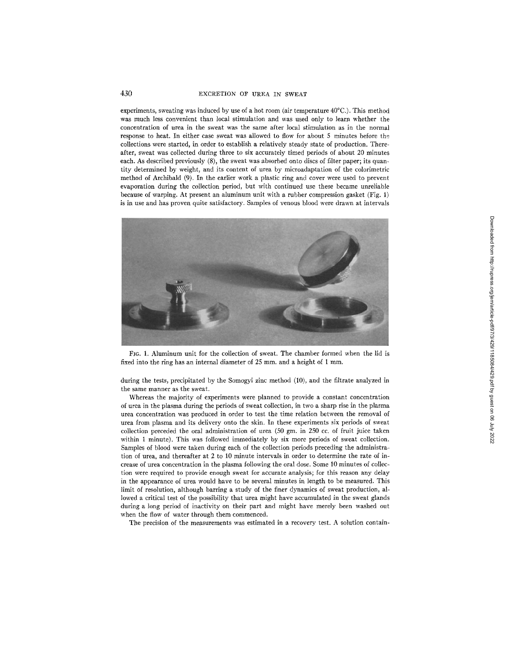experiments, sweating was induced by use of a hot room (air temperature  $40^{\circ}$ C.). This method was much less convenient than local stimulation and was used only to learn whether the concentration of urea in the sweat was the same after local stimulation as in the normal response to heat. In either case sweat was allowed to flow for about 5 minutes before the collections were started, in order to establish a relatively steady state of production. Thereafter, sweat was collected during three to six accurately timed periods of about 20 minutes each. As described previously (8), the sweat was absorbed onto discs of filter paper; its quantity determined by weight, and its content of urea by mieroadaptation of the colorimetric method of Archibald (9). In the earlier work a plastic ring and cover were used to prevent evaporation during the collection period, but with continued use these became unreliable because of warping. At present an aluminum unit with a rubber compression gasket (Fig. 1) is in use and has proven quite satisfactory. Samples of venous blood were drawn at intervals



FIG. 1. Aluminum unit for the collection of sweat. The chamber formed when the lid is fixed into the ring has an internal diameter of 25 mm. and a height of 1 mm.

during the tests, precipitated by the Somogyi zinc method (10), and the filtrate analyzed in the same manner as the sweat.

Whereas the majority of experiments were planned to provide a constant concentration of urea in the plasma during the periods of sweat collection, in two a sharp rise in the plasma urea concentration was produced in order to test the time relation between the removal of urea from plasma and its delivery onto the skin. In these experiments six periods of sweat collection preceded the oral administration of urea (50 gm. in 250 cc. of fruit juice taken within 1 minute). This was followed immediately by six more periods of sweat collection. Samples of blood were taken during each of the collection periods preceding the administration of urea, and thereafter at 2 to 10 minute intervals in order to determine the rate of increase of urea concentration in the plasma following the oral dose. Some 10 minutes of collection were required to provide enough sweat for accurate analysis; for this reason any delay in the appearance of urea would have to be several minutes in length to be measured. This limit of resolution, although barring a study of the finer dynamics of sweat production, allowed a critical test of the possibility that urea might have accumulated in the sweat glands during a long period of inactivity on their part and might have merely been washed out when the flow of water through them commenced.

The precision of the measurements was estimated in a recovery test. A solution contain-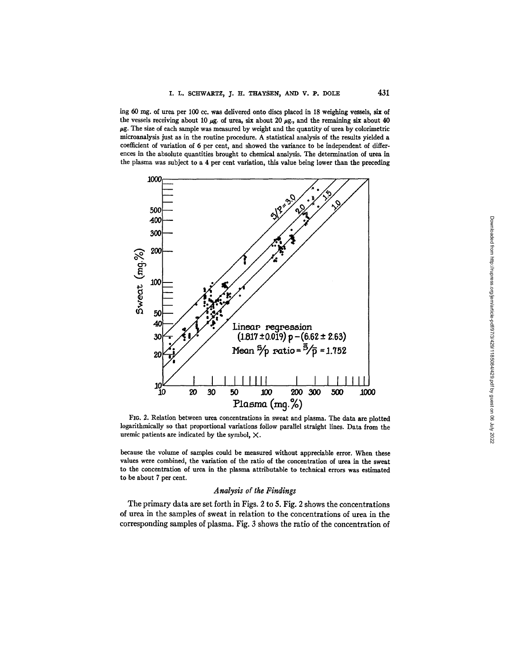ing 60 mg. of urea per 100 cc. was delivered onto discs placed in 18 weighing vessels, six of the vessels receiving about 10  $\mu$ g. of urea, six about 20  $\mu$ g., and the remaining six about 40  $\mu$ g. The size of each sample was measured by weight and the quantity of urea by colorimetric microanalysis just as in the routine procedure. A statistical analysis of the results yielded a coefficient of variation of 6 per cent, and showed the variance to be independent of differences in the absolute quantities brought to chemical analysis. The determination of urea in the plasma was subject to a 4 per cent variation, this value being lower than the preceding



FIO. 2. Relation between urea concentrations in sweat and plasma. The data are plotted logarithmically so that proportional variations follow parallel straight lines. Data from the uremic patients are indicated by the symbol, X.

because the volume of samples could be measured without appreciable error. When these values were combined, the variation of the ratio of the concentration of urea in the sweat to the concentration of urea in the plasma attributable to technical errors was estimated to be about 7 per cent.

# *Analysis of the Findings*

The primary data are set forth in Figs. 2 to 5. Fig. 2 shows the concentrations of urea in the samples of sweat in relation to the concentrations of urea in the corresponding samples of plasma. Fig. 3 shows the ratio of the concentration of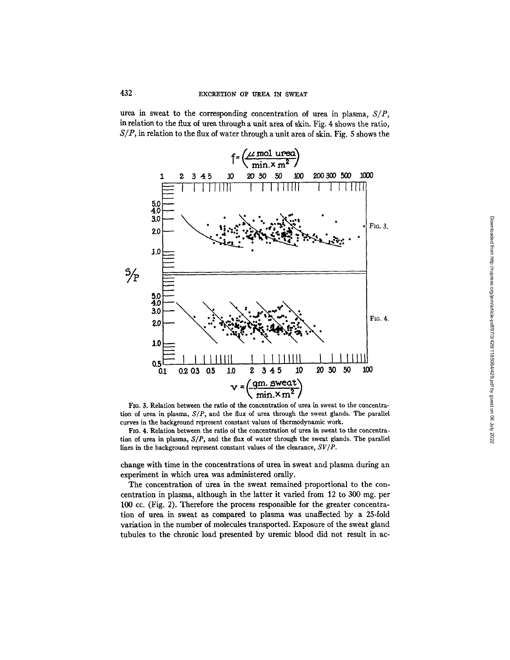urea in sweat to the corresponding concentration of urea in plasma, *S/P,*  in relation to the flux of urea through a unit area of skin. Fig. 4 shows the ratio, *S/P,* in relation to the flux of water through a unit area of skin. Fig. 5 shows the



**FIG.** 3. Relation between the ratio of the concentration of urea in sweat to the concentration of urea in plasma, *S/P,* and the flux of urea through the sweat glands. The parallel curves in the background represent constant values of thermodynamic work.

Fro. 4. Relation between the ratio of the concentration of urea in sweat to the concentration of urea in plasma, *S/P,* and the flux of water through the sweat glands. The parallel lines in the background represent constant values of the clearance, *SF/P.* 

change with time in the concentrations of urea in sweat and plasma during an experiment in which urea was administered orally.

The concentration of urea in the sweat remained proportional to the concentration in plasma, although in the latter it varied from 12 to 300 mg. per 100 cc. (Fig. 2). Therefore the process responsible for the greater concentration of urea in sweat as compared to plasma was unaffected by a 25-fold variation in the number of molecules transported. Exposure of the sweat gland tubules to the chronic load presented by uremic blood did not result in ac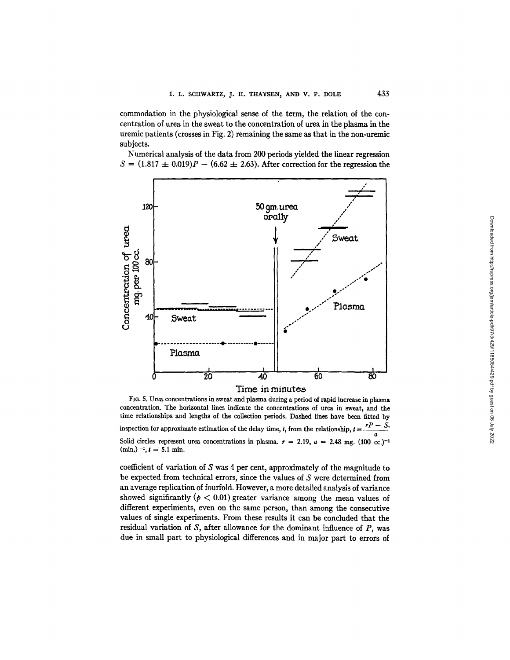commodation in the physiological sense of the term, the relation of the concentration of urea in the sweat to the concentration of urea in the plasma in the uremic patients (crosses in Fig. 2) remaining the same as that in the non-uremic subjects.

Numerical analysis of the data from 200 periods yielded the linear regression  $S = (1.817 \pm 0.019)P - (6.62 \pm 2.63)$ . After correction for the regression the



FIG. 5. Urea concentrations in sweat and plasma during a period of rapid increase in plasma concentration. The horizontal lines indicate the concentrations of urea in sweat, and the time relationships and lengths of the collection periods. Dashed lines have been fitted by inspection for approximate estimation of the delay time, *t*, from the relationship,  $t = \frac{rP - S}{a}$ . Solid circles represent urea concentrations in plasma,  $r = 2.19$ ,  $a = 2.48$  mg. (100 cc.)<sup>-1</sup>  $(min.)^{-1}, t = 5.1$  min.

coefficient of variation of S was 4 per cent, approximately of the magnitude to be expected from technical errors, since the values of S were determined from an average replication of fourfold. However, a more detailed analysis of variance showed significantly ( $p < 0.01$ ) greater variance among the mean values of different experiments, even on the same person, than among the consecutive values of single experiments. From these results it can be concluded that the residual variation of  $S$ , after allowance for the dominant influence of  $P$ , was due in small part to physiological differences and in major part to errors of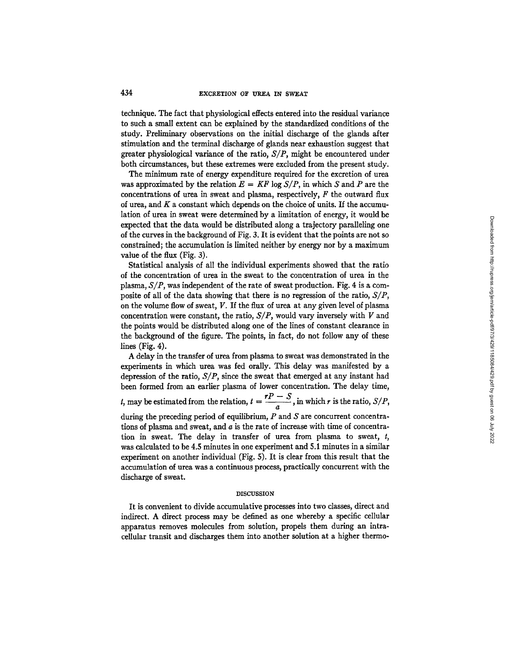technique. The fact that physiological effects entered into the residual variance to such a small extent can be explained by the standardized conditions of the study. Preliminary observations on the initial discharge of the glands after stimulation and the terminal discharge of glands near exhaustion suggest that greater physiological variance of the ratio,  $S/P$ , might be encountered under both circumstances, but these extremes were excluded from the present study.

The minimum rate of energy expenditure required for the excretion of urea was approximated by the relation  $E = KF \log S/P$ , in which S and P are the concentrations of urea in sweat and plasma, respectively,  $F$  the outward flux of urea, and  $K$  a constant which depends on the choice of units. If the accumulation of urea in sweat were determined by a limitation of energy, it would be expected that the data would be distributed along a trajectory paralleling one of the curves in the background of Fig. 3. It is evident that the points are not so constrained; the accumulation is limited neither by energy nor by a maximum value of the flux (Fig. 3).

Statistical analysis of all the individual experiments showed that the ratio of the concentration of urea in the sweat to the concentration of urea in the plasma, *S/P,* was independent of the rate of sweat production. Fig. 4 is a composite of all of the data showing that there is no regression of the ratio, *S/P,*  on the volume flow of sweat, V. If the flux of urea at any given level of plasma concentration were constant, the ratio,  $S/P$ , would vary inversely with V and the points would be distributed along one of the lines of constant clearance in the background of the figure. The points, in fact, do not follow any of these lines (Fig. 4).

A delay in the transfer of urea from plasma to sweat was demonstrated in the experiments in which urea was fed orally. This delay was manifested by a depression of the ratio, *S/P,* since the sweat that emerged at any instant had been formed from an earlier plasma of lower concentration. The delay time, t, may be estimated from the relation,  $t = \frac{r^2}{a}$ , in which r is the ratio,  $S/P$ , during the preceding period of equilibrium,  $P$  and  $S$  are concurrent concentra-

tions of plasma and sweat, and  $a$  is the rate of increase with time of concentration in sweat. The delay in transfer of urea from plasma to sweat, t, was calculated to be 4.5 minutes in one experiment and 5.1 minutes in a similar experiment on another individual (Fig. 5). It is clear from this result that the accumulation of urea was a continuous process, practically concurrent with the discharge of sweat.

### DISCUSSION

It is convenient to divide accumulative processes into two classes, direct and indirect. A direct process may be defined as one whereby a specific cellular apparatus removes molecules from solution, propels them during an intracellular transit and discharges them into another solution at a higher thermo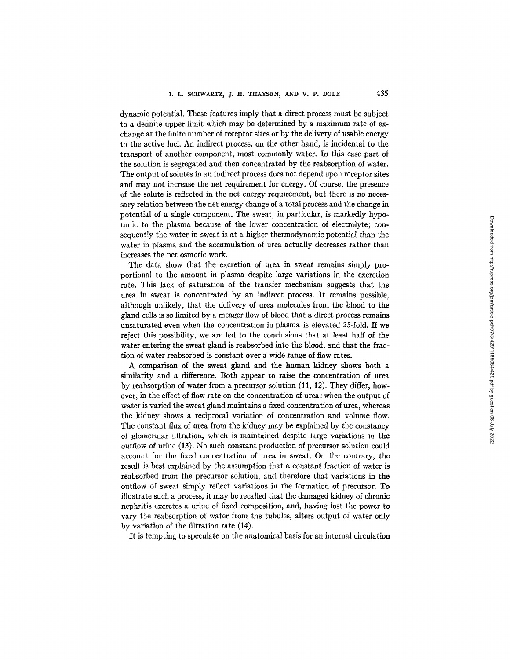dynamic potential. These features imply that a direct process must be subject to a definite upper limit which may be determined by a maximum rate of exchange at the finite number of receptor sites or by the delivery of usable energy to the active loci. An indirect process, on the other hand, is incidental to the transport of another component, most commonly water. In this case part of the solution is segregated and then concentrated by the reabsorption of water. The output of solutes in an indirect process does not depend upon receptor sites and may not increase the net requirement for energy. Of course, the presence of the solute is reflected in the net energy requirement, but there is no necessary relation between the net energy change of a total process and the change in potential of a single component. The sweat, in particular, is markedly hypotonic to the plasma because of the lower concentration of electrolyte; consequently the water in sweat is at a higher thermodynamic potential than the water in plasma and the accumulation of urea actually decreases rather than increases the net osmotic work.

The data show that the excretion of urea in sweat remains simply proportional to the amount in plasma despite large variations in the excretion rate. This lack of saturation of the transfer mechanism suggests that the urea in sweat is concentrated by an indirect process. It remains possible, although unlikely, that the delivery of urea molecules from the blood to the gland cells is so limited by a meager flow of blood that a direct process remains unsaturated even when the concentration in plasma is elevated 25-fold. If we reject this possibility, we are led to the conclusions that at least half of the water entering the sweat gland is reabsorbed into the blood, and that the fraction of water reabsorbed is constant over a wide range of flow rates.

A comparison of the sweat gland and the human kidney shows both a similarity and a difference. Both appear to raise the concentration of urea by reabsorption of water from a precursor solution (11, 12). They differ, however, in the effect of flow rate on the concentration of urea: when the output of water is varied the sweat gland maintains a fixed concentration of urea, whereas the kidney shows a reciprocal variation of concentration and volume flow. The constant flux of urea from the kidney may be explained by the constancy of glomerular filtration, which is maintained despite large variations in the outflow of urine (13). No such constant production of precursor solution could account for the fixed concentration of urea in sweat. On the contrary, the result is best explained by the assumption that a constant fraction of water is reabsorbed from the precursor solution, and therefore that variations in the outflow of sweat simply reflect variations in the formation of precursor. To illustrate such a process, it may be recalled that the damaged kidney of chronic nephritis excretes a urine of fixed composition, and, having lost the power to vary the reabsorption of water from the tubules, alters output of water only by variation of the filtration rate (14).

It is tempting to speculate on the anatomical basis for an internal circulation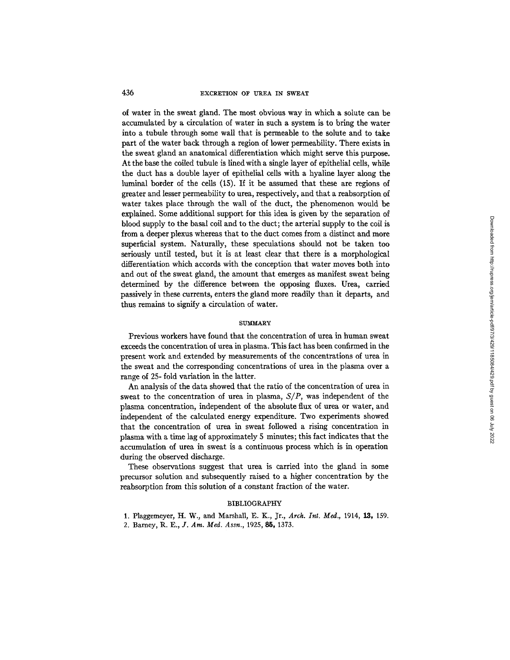436 EXCRETION OF UREA IN SWEAT

of water in the sweat gland. The most obvious way in which a solute can be accumulated by a circulation of water in such a system is to bring the water into a tubule through some wall that is permeable to the solute and to take part of the water back through a region of lower permeability. There exists in the sweat gland an anatomical differentiation which might serve this purpose. At the base the coiled tubule is lined with a single layer of epithelial cells, while the duct has a double layer of epithelial cells with a hyaline layer along the luminal border of the cells (15). If it be assumed that these are regions of greater and lesser permeability to urea, respectively, and that a reabsorption of water takes place through the wall of the duct, the phenomenon would be explained. Some additional support for this idea is given by the separation of blood supply to the basal coil and to the duct; the arterial supply to the coil is from a deeper plexus whereas that to the duct comes from a distinct and more superficial system. Naturally, these speculations should not be taken too seriously until tested, but it is at least clear that there is a morphological differentiation which accords with the conception that water moves both into and out of the sweat gland, the amount that emerges as manifest sweat being determined by the difference between the opposing fluxes. Urea, carried passively in these currents, enters the gland more readily than it departs, and thus remains to signify a circulation of water.

### **SUMMARY**

Previous workers have found that the concentration of urea in human sweat exceeds the concentration of urea in plasma. This fact has been confirmed in the present work and extended by measurements of the concentrations of urea in the sweat and the corresponding concentrations of urea in the plasma over a range of 25- fold variation in the latter.

An analysis of the data showed that the ratio of the concentration of urea in sweat to the concentration of urea in plasma, *S/P,* was independent of the plasma concentration, independent of the absolute flux of urea or water, and independent of the calculated energy expenditure. Two experiments showed that the concentration of urea in sweat followed a rising concentration in plasma with a time lag of approximately 5 minutes; this fact indicates that the accumulation of urea in sweat is a continuous process which is in operation during the observed discharge.

These observations suggest that urea is carried into the gland in some precursor solution and subsequently raised to a higher concentration by the reabsorption from this solution of a constant fraction of the water.

# BIBLIOGRAPHY

1. Plaggemeyer, H. W., and Marshall, E. K., Jr., *Arch. Int. Med.,* 1914, 13, 159. 2. Barney, *R. E., J. Am. Med. Assn.,* 1925, 85, 1373.